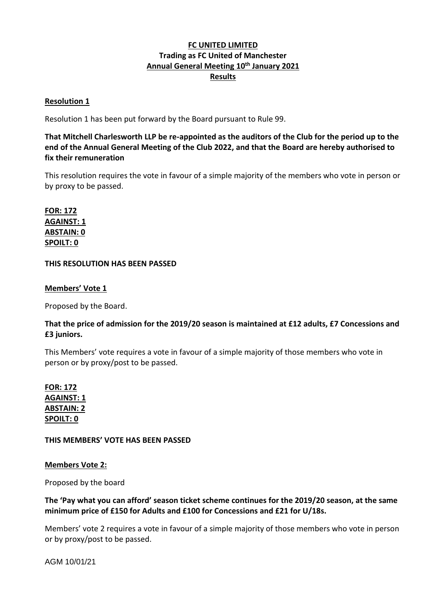# **FC UNITED LIMITED Trading as FC United of Manchester Annual General Meeting 10th January 2021 Results**

## **Resolution 1**

Resolution 1 has been put forward by the Board pursuant to Rule 99.

**That Mitchell Charlesworth LLP be re-appointed as the auditors of the Club for the period up to the end of the Annual General Meeting of the Club 2022, and that the Board are hereby authorised to fix their remuneration**

This resolution requires the vote in favour of a simple majority of the members who vote in person or by proxy to be passed.

**FOR: 172 AGAINST: 1 ABSTAIN: 0 SPOILT: 0**

## **THIS RESOLUTION HAS BEEN PASSED**

## **Members' Vote 1**

Proposed by the Board.

## **That the price of admission for the 2019/20 season is maintained at £12 adults, £7 Concessions and £3 juniors.**

This Members' vote requires a vote in favour of a simple majority of those members who vote in person or by proxy/post to be passed.

**FOR: 172 AGAINST: 1 ABSTAIN: 2 SPOILT: 0**

**THIS MEMBERS' VOTE HAS BEEN PASSED**

## **Members Vote 2:**

Proposed by the board

## **The 'Pay what you can afford' season ticket scheme continues for the 2019/20 season, at the same minimum price of £150 for Adults and £100 for Concessions and £21 for U/18s.**

Members' vote 2 requires a vote in favour of a simple majority of those members who vote in person or by proxy/post to be passed.

AGM 10/01/21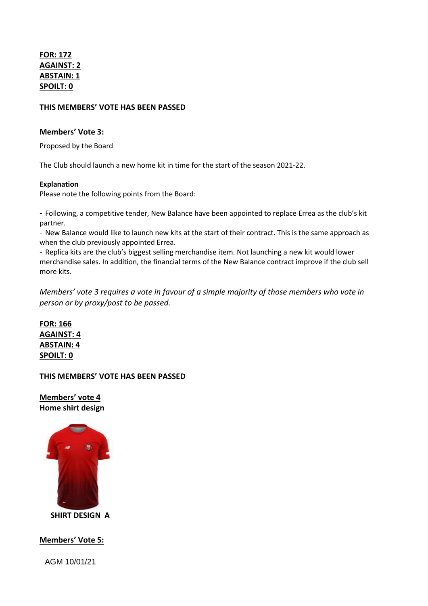**FOR: 172 AGAINST: 2 ABSTAIN: 1 SPOILT: 0**

#### **THIS MEMBERS' VOTE HAS BEEN PASSED**

#### **Members' Vote 3:**

Proposed by the Board

The Club should launch a new home kit in time for the start of the season 2021-22.

#### **Explanation**

Please note the following points from the Board:

- Following, a competitive tender, New Balance have been appointed to replace Errea as the club's kit partner.

- New Balance would like to launch new kits at the start of their contract. This is the same approach as when the club previously appointed Errea.

- Replica kits are the club's biggest selling merchandise item. Not launching a new kit would lower merchandise sales. In addition, the financial terms of the New Balance contract improve if the club sell more kits.

*Members' vote 3 requires a vote in favour of a simple majority of those members who vote in person or by proxy/post to be passed.*

**FOR: 166 AGAINST: 4 ABSTAIN: 4 SPOILT: 0**

**THIS MEMBERS' VOTE HAS BEEN PASSED**

**Members' vote 4 Home shirt design**



 **SHIRT DESIGN A**

**Members' Vote 5:**

AGM 10/01/21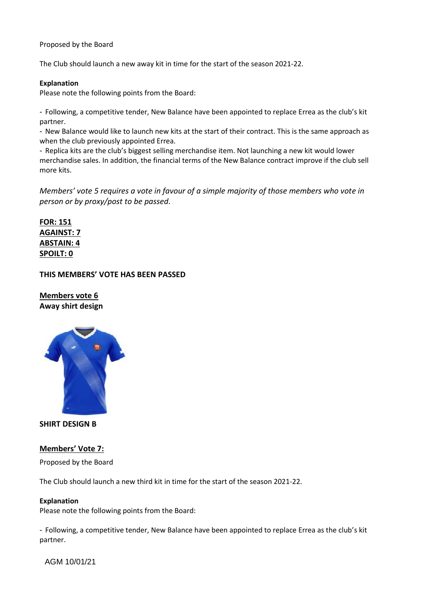Proposed by the Board

The Club should launch a new away kit in time for the start of the season 2021-22.

#### **Explanation**

Please note the following points from the Board:

- Following, a competitive tender, New Balance have been appointed to replace Errea as the club's kit partner.

- New Balance would like to launch new kits at the start of their contract. This is the same approach as when the club previously appointed Errea.

- Replica kits are the club's biggest selling merchandise item. Not launching a new kit would lower merchandise sales. In addition, the financial terms of the New Balance contract improve if the club sell more kits.

*Members' vote 5 requires a vote in favour of a simple majority of those members who vote in person or by proxy/post to be passed.*

**FOR: 151 AGAINST: 7 ABSTAIN: 4 SPOILT: 0**

#### **THIS MEMBERS' VOTE HAS BEEN PASSED**

**Members vote 6 Away shirt design**



**SHIRT DESIGN B**

### **Members' Vote 7:**

Proposed by the Board

The Club should launch a new third kit in time for the start of the season 2021-22.

#### **Explanation**

Please note the following points from the Board:

- Following, a competitive tender, New Balance have been appointed to replace Errea as the club's kit partner.

AGM 10/01/21